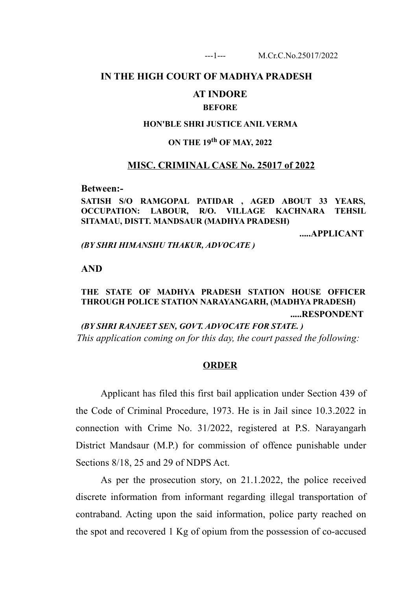# **IN THE HIGH COURT OF MADHYA PRADESH**

## **AT INDORE**

### **BEFORE**

### **HON'BLE SHRI JUSTICE ANIL VERMA**

# **ON THE 19th OF MAY, 2022**

# **MISC. CRIMINAL CASE No. 25017 of 2022**

**Between:-**

**SATISH S/O RAMGOPAL PATIDAR , AGED ABOUT 33 YEARS, OCCUPATION: LABOUR, R/O. VILLAGE KACHNARA TEHSIL SITAMAU, DISTT. MANDSAUR (MADHYA PRADESH)**

**.....APPLICANT**

*(BY SHRI HIMANSHU THAKUR, ADVOCATE )*

**AND**

# **THE STATE OF MADHYA PRADESH STATION HOUSE OFFICER THROUGH POLICE STATION NARAYANGARH, (MADHYA PRADESH) .....RESPONDENT**

*(BY SHRI RANJEET SEN, GOVT. ADVOCATE FOR STATE. ) This application coming on for this day, the court passed the following:*

### **ORDER**

Applicant has filed this first bail application under Section 439 of the Code of Criminal Procedure, 1973. He is in Jail since 10.3.2022 in connection with Crime No. 31/2022, registered at P.S. Narayangarh District Mandsaur (M.P.) for commission of offence punishable under Sections 8/18, 25 and 29 of NDPS Act.

As per the prosecution story, on 21.1.2022, the police received discrete information from informant regarding illegal transportation of contraband. Acting upon the said information, police party reached on the spot and recovered 1 Kg of opium from the possession of co-accused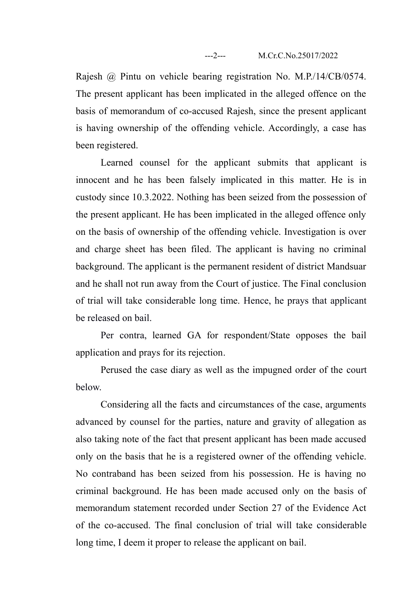Rajesh @ Pintu on vehicle bearing registration No. M.P./14/CB/0574. The present applicant has been implicated in the alleged offence on the basis of memorandum of co-accused Rajesh, since the present applicant is having ownership of the offending vehicle. Accordingly, a case has been registered.

Learned counsel for the applicant submits that applicant is innocent and he has been falsely implicated in this matter. He is in custody since 10.3.2022. Nothing has been seized from the possession of the present applicant. He has been implicated in the alleged offence only on the basis of ownership of the offending vehicle. Investigation is over and charge sheet has been filed. The applicant is having no criminal background. The applicant is the permanent resident of district Mandsuar and he shall not run away from the Court of justice. The Final conclusion of trial will take considerable long time. Hence, he prays that applicant be released on bail.

Per contra, learned GA for respondent/State opposes the bail application and prays for its rejection.

Perused the case diary as well as the impugned order of the court below.

Considering all the facts and circumstances of the case, arguments advanced by counsel for the parties, nature and gravity of allegation as also taking note of the fact that present applicant has been made accused only on the basis that he is a registered owner of the offending vehicle. No contraband has been seized from his possession. He is having no criminal background. He has been made accused only on the basis of memorandum statement recorded under Section 27 of the Evidence Act of the co-accused. The final conclusion of trial will take considerable long time, I deem it proper to release the applicant on bail.